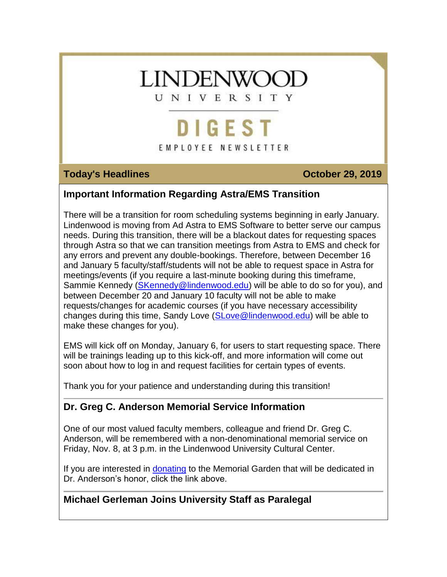# **LINDENWOOL**

UNIVERSITY

## DIGEST EMPLOYEE NEWSLETTER

### **Today's Headlines Contract Contract Contract Contract Contract Contract Contract Contract Contract Contract Contract Contract Contract Contract Contract Contract Contract Contract Contract Contract Contract Contract Con**

### **Important Information Regarding Astra/EMS Transition**

There will be a transition for room scheduling systems beginning in early January. Lindenwood is moving from Ad Astra to EMS Software to better serve our campus needs. During this transition, there will be a blackout dates for requesting spaces through Astra so that we can transition meetings from Astra to EMS and check for any errors and prevent any double-bookings. Therefore, between December 16 and January 5 faculty/staff/students will not be able to request space in Astra for meetings/events (if you require a last-minute booking during this timeframe, Sammie Kennedy [\(SKennedy@lindenwood.edu\)](mailto:SKennedy@lindenwood.edu) will be able to do so for you), and between December 20 and January 10 faculty will not be able to make requests/changes for academic courses (if you have necessary accessibility changes during this time, Sandy Love [\(SLove@lindenwood.edu\)](mailto:SLove@lindenwood.edu) will be able to make these changes for you).

EMS will kick off on Monday, January 6, for users to start requesting space. There will be trainings leading up to this kick-off, and more information will come out soon about how to log in and request facilities for certain types of events.

Thank you for your patience and understanding during this transition!

### **Dr. Greg C. Anderson Memorial Service Information**

One of our most valued faculty members, colleague and friend Dr. Greg C. Anderson, will be remembered with a non-denominational memorial service on Friday, Nov. 8, at 3 p.m. in the Lindenwood University Cultural Center.

If you are interested in [donating](https://hes32-ctp.trendmicro.com/wis/clicktime/v1/query?url=https%3a%2f%2fcustapp.marketvolt.com%2flink%2fvfshQdfi6h%3fCM%3d1412671804%26X%3d70525052&umid=75fcd80e-f5c2-40ba-9501-ea3d2d9fb2df&auth=bc7ac43e330fa629f0cfb11786c85e83c10d06b8-ba96bdacfb7c23ddb265e739f267e33ad4113c3c) to the Memorial Garden that will be dedicated in Dr. Anderson's honor, click the link above.

### **Michael Gerleman Joins University Staff as Paralegal**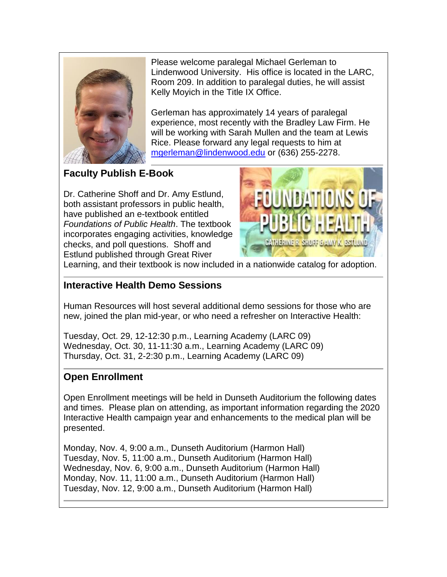

Please welcome paralegal Michael Gerleman to Lindenwood University. His office is located in the LARC, Room 209. In addition to paralegal duties, he will assist Kelly Moyich in the Title IX Office.

Gerleman has approximately 14 years of paralegal experience, most recently with the Bradley Law Firm. He will be working with Sarah Mullen and the team at Lewis Rice. Please forward any legal requests to him at [mgerleman@lindenwood.edu](mailto:mgerleman@lindenwood.edu) or (636) 255-2278.

**Faculty Publish E-Book**

Dr. Catherine Shoff and Dr. Amy Estlund, both assistant professors in public health, have published an e-textbook entitled *Foundations of Public Health*. The textbook incorporates engaging activities, knowledge checks, and poll questions. Shoff and Estlund published through Great River



Learning, and their textbook is now included in a nationwide catalog for adoption.

### **Interactive Health Demo Sessions**

Human Resources will host several additional demo sessions for those who are new, joined the plan mid-year, or who need a refresher on Interactive Health:

Tuesday, Oct. 29, 12-12:30 p.m., Learning Academy (LARC 09) Wednesday, Oct. 30, 11-11:30 a.m., Learning Academy (LARC 09) Thursday, Oct. 31, 2-2:30 p.m., Learning Academy (LARC 09)

### **Open Enrollment**

Open Enrollment meetings will be held in Dunseth Auditorium the following dates and times. Please plan on attending, as important information regarding the 2020 Interactive Health campaign year and enhancements to the medical plan will be presented.

Monday, Nov. 4, 9:00 a.m., Dunseth Auditorium (Harmon Hall) Tuesday, Nov. 5, 11:00 a.m., Dunseth Auditorium (Harmon Hall) Wednesday, Nov. 6, 9:00 a.m., Dunseth Auditorium (Harmon Hall) Monday, Nov. 11, 11:00 a.m., Dunseth Auditorium (Harmon Hall) Tuesday, Nov. 12, 9:00 a.m., Dunseth Auditorium (Harmon Hall)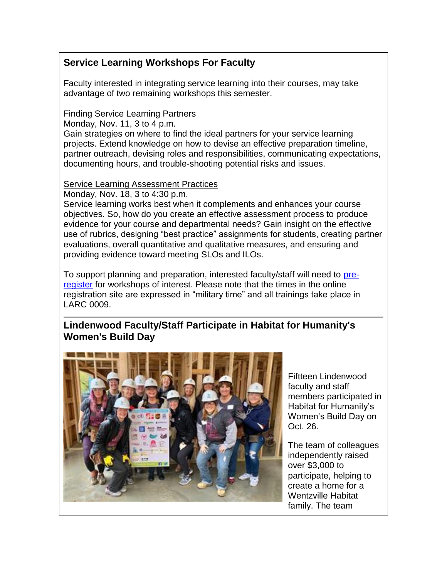### **Service Learning Workshops For Faculty**

Faculty interested in integrating service learning into their courses, may take advantage of two remaining workshops this semester.

### Finding Service Learning Partners

Monday, Nov. 11, 3 to 4 p.m.

Gain strategies on where to find the ideal partners for your service learning projects. Extend knowledge on how to devise an effective preparation timeline, partner outreach, devising roles and responsibilities, communicating expectations, documenting hours, and trouble-shooting potential risks and issues.

### Service Learning Assessment Practices

Monday, Nov. 18, 3 to 4:30 p.m.

Service learning works best when it complements and enhances your course objectives. So, how do you create an effective assessment process to produce evidence for your course and departmental needs? Gain insight on the effective use of rubrics, designing "best practice" assignments for students, creating partner evaluations, overall quantitative and qualitative measures, and ensuring and providing evidence toward meeting SLOs and ILOs.

To support planning and preparation, interested faculty/staff will need to [pre](https://hes32-ctp.trendmicro.com/wis/clicktime/v1/query?url=https%3a%2f%2fcustapp.marketvolt.com%2flink%2fKNgqkKzGcz%3fCM%3d1412671804%26X%3d70525052&umid=75fcd80e-f5c2-40ba-9501-ea3d2d9fb2df&auth=bc7ac43e330fa629f0cfb11786c85e83c10d06b8-c0c5380869d9ed645f49ada19aad6516d00c8898)[register](https://hes32-ctp.trendmicro.com/wis/clicktime/v1/query?url=https%3a%2f%2fcustapp.marketvolt.com%2flink%2fKNgqkKzGcz%3fCM%3d1412671804%26X%3d70525052&umid=75fcd80e-f5c2-40ba-9501-ea3d2d9fb2df&auth=bc7ac43e330fa629f0cfb11786c85e83c10d06b8-c0c5380869d9ed645f49ada19aad6516d00c8898) for workshops of interest. Please note that the times in the online registration site are expressed in "military time" and all trainings take place in LARC 0009.

### **Lindenwood Faculty/Staff Participate in Habitat for Humanity's Women's Build Day**



Fiftteen Lindenwood faculty and staff members participated in Habitat for Humanity's Women's Build Day on Oct. 26.

The team of colleagues independently raised over \$3,000 to participate, helping to create a home for a Wentzville Habitat family. The team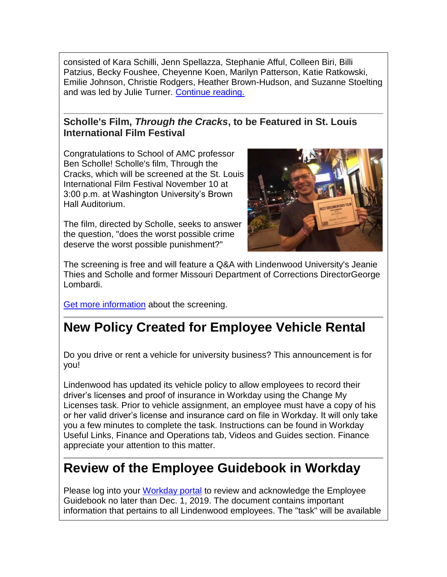consisted of Kara Schilli, Jenn Spellazza, Stephanie Afful, Colleen Biri, Billi Patzius, Becky Foushee, Cheyenne Koen, Marilyn Patterson, Katie Ratkowski, Emilie Johnson, Christie Rodgers, Heather Brown-Hudson, and Suzanne Stoelting and was led by Julie Turner. [Continue reading.](https://hes32-ctp.trendmicro.com/wis/clicktime/v1/query?url=https%3a%2f%2fcustapp.marketvolt.com%2flink%2fz1VeBFDoGm%3fCM%3d1412671804%26X%3d70525052&umid=75fcd80e-f5c2-40ba-9501-ea3d2d9fb2df&auth=bc7ac43e330fa629f0cfb11786c85e83c10d06b8-bf8c7ed3bac29198889e2e0bb55688b112bba930)

### **Scholle's Film,** *Through the Cracks***, to be Featured in St. Louis International Film Festival**

Congratulations to School of AMC professor Ben Scholle! Scholle's film, Through the Cracks, which will be screened at the St. Louis International Film Festival November 10 at 3:00 p.m. at Washington University's Brown Hall Auditorium.

The film, directed by Scholle, seeks to answer the question, "does the worst possible crime deserve the worst possible punishment?"



The screening is free and will feature a Q&A with Lindenwood University's Jeanie Thies and Scholle and former Missouri Department of Corrections DirectorGeorge Lombardi.

[Get more information](https://hes32-ctp.trendmicro.com/wis/clicktime/v1/query?url=https%3a%2f%2fcustapp.marketvolt.com%2flink%2f26VWeBnouf%3fCM%3d1412671804%26X%3d70525052&umid=75fcd80e-f5c2-40ba-9501-ea3d2d9fb2df&auth=bc7ac43e330fa629f0cfb11786c85e83c10d06b8-08e13a6b6910d4e8187fd1a427a1fffc12fe2bc3) about the screening.

## **New Policy Created for Employee Vehicle Rental**

Do you drive or rent a vehicle for university business? This announcement is for you!

Lindenwood has updated its vehicle policy to allow employees to record their driver's licenses and proof of insurance in Workday using the Change My Licenses task. Prior to vehicle assignment, an employee must have a copy of his or her valid driver's license and insurance card on file in Workday. It will only take you a few minutes to complete the task. Instructions can be found in Workday Useful Links, Finance and Operations tab, Videos and Guides section. Finance appreciate your attention to this matter.

### **Review of the Employee Guidebook in Workday**

Please log into your [Workday portal](https://hes32-ctp.trendmicro.com/wis/clicktime/v1/query?url=https%3a%2f%2fcustapp.marketvolt.com%2flink%2fRiAnhGM4Ui%3fCM%3d1412671804%26X%3d70525052&umid=75fcd80e-f5c2-40ba-9501-ea3d2d9fb2df&auth=bc7ac43e330fa629f0cfb11786c85e83c10d06b8-4a6ac4782c7c33835f7af64fc756f01d85271d6c) to review and acknowledge the Employee Guidebook no later than Dec. 1, 2019. The document contains important information that pertains to all Lindenwood employees. The "task" will be available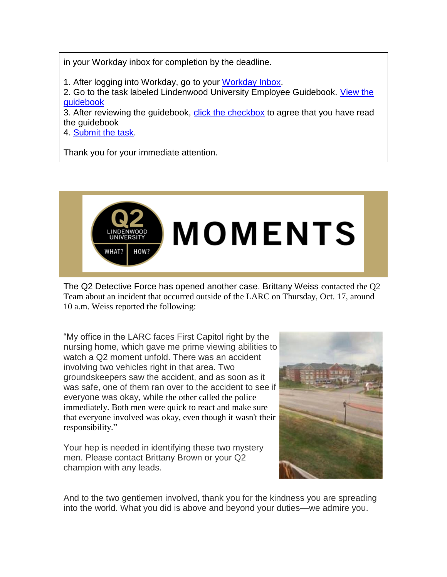in your Workday inbox for completion by the deadline.

1. After logging into Workday, go to your [Workday Inbox.](https://hes32-ctp.trendmicro.com/wis/clicktime/v1/query?url=https%3a%2f%2fcustapp.marketvolt.com%2flink%2fimZE5Ukuqy%3fCM%3d1412671804%26X%3d70525052&umid=75fcd80e-f5c2-40ba-9501-ea3d2d9fb2df&auth=bc7ac43e330fa629f0cfb11786c85e83c10d06b8-400f62d7e58391890b9cc6a78b433969e71428cf)

2. Go to the task labeled Lindenwood University Employee Guidebook. [View the](https://hes32-ctp.trendmicro.com/wis/clicktime/v1/query?url=https%3a%2f%2fcustapp.marketvolt.com%2flink%2fzgDllRD1oW%3fCM%3d1412671804%26X%3d70525052&umid=75fcd80e-f5c2-40ba-9501-ea3d2d9fb2df&auth=bc7ac43e330fa629f0cfb11786c85e83c10d06b8-d47a636df2219811ef4467284343030e1dd3e275)  [guidebook](https://hes32-ctp.trendmicro.com/wis/clicktime/v1/query?url=https%3a%2f%2fcustapp.marketvolt.com%2flink%2fzgDllRD1oW%3fCM%3d1412671804%26X%3d70525052&umid=75fcd80e-f5c2-40ba-9501-ea3d2d9fb2df&auth=bc7ac43e330fa629f0cfb11786c85e83c10d06b8-d47a636df2219811ef4467284343030e1dd3e275)

3. After reviewing the guidebook, [click the checkbox](https://hes32-ctp.trendmicro.com/wis/clicktime/v1/query?url=https%3a%2f%2fcustapp.marketvolt.com%2flink%2fzgDllRD1oW%3fCM%3d1412671804%26X%3d70525052&umid=75fcd80e-f5c2-40ba-9501-ea3d2d9fb2df&auth=bc7ac43e330fa629f0cfb11786c85e83c10d06b8-d47a636df2219811ef4467284343030e1dd3e275) to agree that you have read the guidebook

4. [Submit the task.](https://hes32-ctp.trendmicro.com/wis/clicktime/v1/query?url=https%3a%2f%2fcustapp.marketvolt.com%2flink%2fzgDllRD1oW%3fCM%3d1412671804%26X%3d70525052&umid=75fcd80e-f5c2-40ba-9501-ea3d2d9fb2df&auth=bc7ac43e330fa629f0cfb11786c85e83c10d06b8-d47a636df2219811ef4467284343030e1dd3e275)

Thank you for your immediate attention.



The Q2 Detective Force has opened another case. Brittany Weiss contacted the Q2 Team about an incident that occurred outside of the LARC on Thursday, Oct. 17, around 10 a.m. Weiss reported the following:

"My office in the LARC faces First Capitol right by the nursing home, which gave me prime viewing abilities to watch a Q2 moment unfold. There was an accident involving two vehicles right in that area. Two groundskeepers saw the accident, and as soon as it was safe, one of them ran over to the accident to see if everyone was okay, while the other called the police immediately. Both men were quick to react and make sure that everyone involved was okay, even though it wasn't their responsibility."

Your hep is needed in identifying these two mystery men. Please contact Brittany Brown or your Q2 champion with any leads.



And to the two gentlemen involved, thank you for the kindness you are spreading into the world. What you did is above and beyond your duties—we admire you.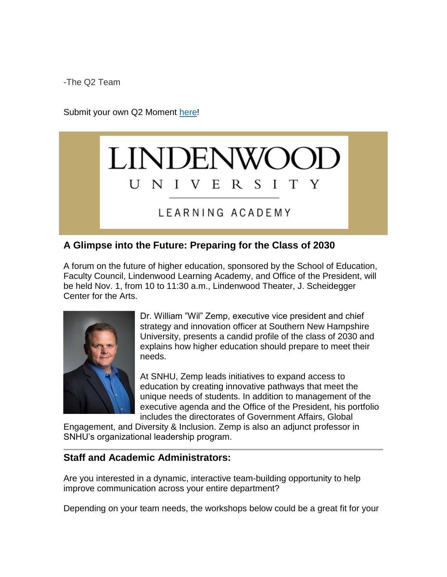-The Q2 Team

Submit your own Q2 Moment [here!](https://hes32-ctp.trendmicro.com/wis/clicktime/v1/query?url=https%3a%2f%2fcustapp.marketvolt.com%2flink%2fk4fw4QpbMd%3fCM%3d1412671804%26X%3d70525052&umid=75fcd80e-f5c2-40ba-9501-ea3d2d9fb2df&auth=bc7ac43e330fa629f0cfb11786c85e83c10d06b8-2e73046d9ffae4b46b8445161a7d8020fac48d5f)



### LEARNING ACADEMY

### **A Glimpse into the Future: Preparing for the Class of 2030**

A forum on the future of higher education, sponsored by the School of Education, Faculty Council, Lindenwood Learning Academy, and Office of the President, will be held Nov. 1, from 10 to 11:30 a.m., Lindenwood Theater, J. Scheidegger Center for the Arts.



Dr. William "Wil" Zemp, executive vice president and chief strategy and innovation officer at Southern New Hampshire University, presents a candid profile of the class of 2030 and explains how higher education should prepare to meet their needs.

At SNHU, Zemp leads initiatives to expand access to education by creating innovative pathways that meet the unique needs of students. In addition to management of the executive agenda and the Office of the President, his portfolio includes the directorates of Government Affairs, Global

Engagement, and Diversity & Inclusion. Zemp is also an adjunct professor in SNHU's organizational leadership program.

### **Staff and Academic Administrators:**

Are you interested in a dynamic, interactive team-building opportunity to help improve communication across your entire department?

Depending on your team needs, the workshops below could be a great fit for your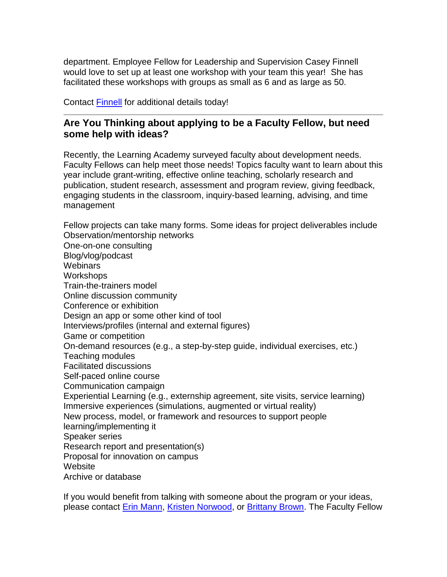department. Employee Fellow for Leadership and Supervision Casey Finnell would love to set up at least one workshop with your team this year! She has facilitated these workshops with groups as small as 6 and as large as 50.

Contact [Finnell](mailto:CFinnell@lindenwood.edu) for additional details today!

### **Are You Thinking about applying to be a Faculty Fellow, but need some help with ideas?**

Recently, the Learning Academy surveyed faculty about development needs. Faculty Fellows can help meet those needs! Topics faculty want to learn about this year include grant-writing, effective online teaching, scholarly research and publication, student research, assessment and program review, giving feedback, engaging students in the classroom, inquiry-based learning, advising, and time management

Fellow projects can take many forms. Some ideas for project deliverables include Observation/mentorship networks One-on-one consulting Blog/vlog/podcast **Webinars Workshops** Train-the-trainers model Online discussion community Conference or exhibition Design an app or some other kind of tool Interviews/profiles (internal and external figures) Game or competition On-demand resources (e.g., a step-by-step guide, individual exercises, etc.) Teaching modules Facilitated discussions Self-paced online course Communication campaign Experiential Learning (e.g., externship agreement, site visits, service learning) Immersive experiences (simulations, augmented or virtual reality) New process, model, or framework and resources to support people learning/implementing it Speaker series Research report and presentation(s) Proposal for innovation on campus **Website** Archive or database

If you would benefit from talking with someone about the program or your ideas, please contact [Erin Mann,](mailto:emann@lindenwood.edu) [Kristen Norwood,](mailto:knorwood@lindenwood.edu) or [Brittany Brown.](mailto:bbrown@lindenwood.edu) The Faculty Fellow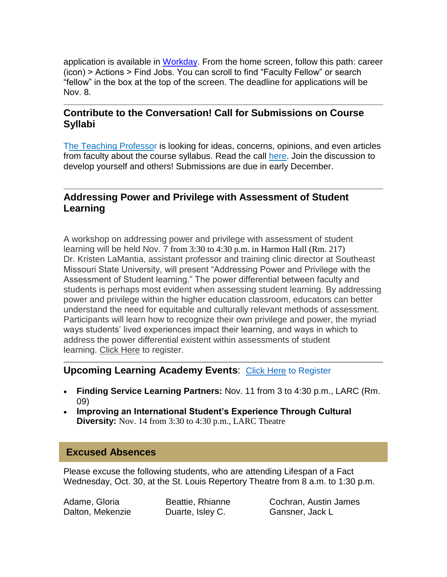application is available in [Workday.](https://hes32-ctp.trendmicro.com/wis/clicktime/v1/query?url=https%3a%2f%2fcustapp.marketvolt.com%2flink%2fLF9kYNTzif%3fCM%3d1412671804%26X%3d70525052&umid=75fcd80e-f5c2-40ba-9501-ea3d2d9fb2df&auth=bc7ac43e330fa629f0cfb11786c85e83c10d06b8-d30bdf62edd65f5dac006df4058dc69425aee3c7) From the home screen, follow this path: career (icon) > Actions > Find Jobs. You can scroll to find "Faculty Fellow" or search "fellow" in the box at the top of the screen. The deadline for applications will be Nov. 8.

### **Contribute to the Conversation! Call for Submissions on Course Syllabi**

[The Teaching Professor](https://hes32-ctp.trendmicro.com/wis/clicktime/v1/query?url=https%3a%2f%2fcustapp.marketvolt.com%2flink%2fAFNPu5a21M%3fCM%3d1412671804%26X%3d70525052&umid=75fcd80e-f5c2-40ba-9501-ea3d2d9fb2df&auth=bc7ac43e330fa629f0cfb11786c85e83c10d06b8-2a752bc946aeb839d2acb6aff3f99b260b23dce3) is looking for ideas, concerns, opinions, and even articles from faculty about the course syllabus. Read the call [here.](https://hes32-ctp.trendmicro.com/wis/clicktime/v1/query?url=https%3a%2f%2fcustapp.marketvolt.com%2flink%2fzz4NNlDscN%3fCM%3d1412671804%26X%3d70525052&umid=75fcd80e-f5c2-40ba-9501-ea3d2d9fb2df&auth=bc7ac43e330fa629f0cfb11786c85e83c10d06b8-54beddebd26459bbbb48c699e6957bb095b40623) Join the discussion to develop yourself and others! Submissions are due in early December.

### **Addressing Power and Privilege with Assessment of Student Learning**

A workshop on addressing power and privilege with assessment of student learning will be held Nov. 7 from 3:30 to 4:30 p.m. in Harmon Hall (Rm. 217) Dr. Kristen LaMantia, assistant professor and training clinic director at Southeast Missouri State University, will present "Addressing Power and Privilege with the Assessment of Student learning." The power differential between faculty and students is perhaps most evident when assessing student learning. By addressing power and privilege within the higher education classroom, educators can better understand the need for equitable and culturally relevant methods of assessment. Participants will learn how to recognize their own privilege and power, the myriad ways students' lived experiences impact their learning, and ways in which to address the power differential existent within assessments of student learning. [Click Here](https://hes32-ctp.trendmicro.com/wis/clicktime/v1/query?url=https%3a%2f%2fcustapp.marketvolt.com%2flink%2fz6Yfhgqx8q%3fCM%3d1412671804%26X%3d70525052&umid=75fcd80e-f5c2-40ba-9501-ea3d2d9fb2df&auth=bc7ac43e330fa629f0cfb11786c85e83c10d06b8-c5d555fc7e33c3f740480dfe886a123c2c456a7a) to register.

### **Upcoming Learning Academy Events**: [Click Here](https://hes32-ctp.trendmicro.com/wis/clicktime/v1/query?url=https%3a%2f%2fcustapp.marketvolt.com%2flink%2fv6GuGEucM2%3fCM%3d1412671804%26X%3d70525052&umid=75fcd80e-f5c2-40ba-9501-ea3d2d9fb2df&auth=bc7ac43e330fa629f0cfb11786c85e83c10d06b8-3f79302de4cd6bff311946b63d33868be65afedd) to Register

- **Finding Service Learning Partners:** Nov. 11 from 3 to 4:30 p.m., LARC (Rm. 09)
- **Improving an International Student's Experience Through Cultural Diversity:** Nov. 14 from 3:30 to 4:30 p.m., LARC Theatre

### **Excused Absences**

Please excuse the following students, who are attending Lifespan of a Fact Wednesday, Oct. 30, at the St. Louis Repertory Theatre from 8 a.m. to 1:30 p.m.

Dalton, Mekenzie **Duarte, Isley C.** Gansner, Jack L

Adame, Gloria Beattie, Rhianne Cochran, Austin James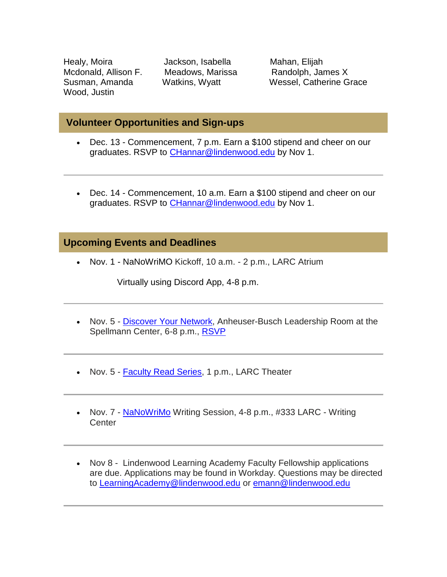Healy, Moira **Jackson, Isabella** Mahan, Elijah Wood, Justin

Mcdonald, Allison F. Meadows, Marissa Randolph, James X Susman, Amanda Watkins, Wyatt Wessel, Catherine Grace

### **Volunteer Opportunities and Sign-ups**

- Dec. 13 Commencement, 7 p.m. Earn a \$100 stipend and cheer on our graduates. RSVP to [CHannar@lindenwood.edu](mailto:CHannar@lindenwood.edu) by Nov 1.
- Dec. 14 Commencement, 10 a.m. Earn a \$100 stipend and cheer on our graduates. RSVP to [CHannar@lindenwood.edu](mailto:CHannar@lindenwood.edu) by Nov 1.

### **Upcoming Events and Deadlines**

• Nov. 1 - NaNoWriMO Kickoff, 10 a.m. - 2 p.m., LARC Atrium

Virtually using Discord App, 4-8 p.m.

- Nov. 5 [Discover Your Network,](https://hes32-ctp.trendmicro.com/wis/clicktime/v1/query?url=https%3a%2f%2fcustapp.marketvolt.com%2flink%2fksWTHAPzhx%3fCM%3d1412671804%26X%3d70525052&umid=75fcd80e-f5c2-40ba-9501-ea3d2d9fb2df&auth=bc7ac43e330fa629f0cfb11786c85e83c10d06b8-e6b59b34d82695d952bcca7f50b7730485300dc0) Anheuser-Busch Leadership Room at the Spellmann Center, 6-8 p.m., [RSVP](https://hes32-ctp.trendmicro.com/wis/clicktime/v1/query?url=https%3a%2f%2fcustapp.marketvolt.com%2flink%2fksWTHAPzhx%3fCM%3d1412671804%26X%3d70525052&umid=75fcd80e-f5c2-40ba-9501-ea3d2d9fb2df&auth=bc7ac43e330fa629f0cfb11786c85e83c10d06b8-e6b59b34d82695d952bcca7f50b7730485300dc0)
- Nov. 5 **Faculty Read Series**, 1 p.m., LARC Theater
- Nov. 7 [NaNoWriMo](https://hes32-ctp.trendmicro.com/wis/clicktime/v1/query?url=https%3a%2f%2fcustapp.marketvolt.com%2flink%2faEiWa5f3fC%3fCM%3d1412671804%26X%3d70525052&umid=75fcd80e-f5c2-40ba-9501-ea3d2d9fb2df&auth=bc7ac43e330fa629f0cfb11786c85e83c10d06b8-0e19ae36322dad765070db62017d68adcc326783) Writing Session, 4-8 p.m., #333 LARC Writing **Center**
- Nov 8 Lindenwood Learning Academy Faculty Fellowship applications are due. Applications may be found in Workday. Questions may be directed to [LearningAcademy@lindenwood.edu](mailto:LearningAcademy@lindenwood.edu) or [emann@lindenwood.edu](mailto:emann@lindenwood.edu)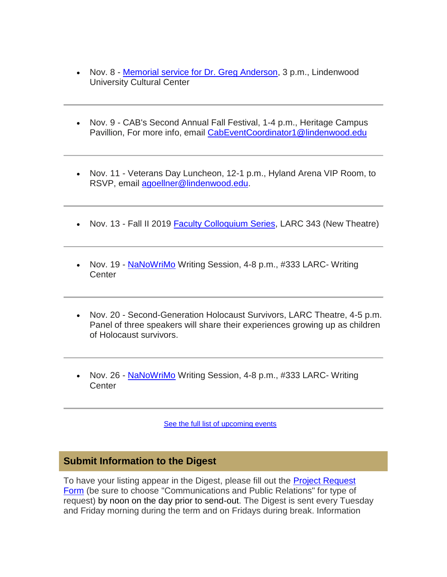- Nov. 8 [Memorial service for Dr. Greg Anderson,](https://hes32-ctp.trendmicro.com/wis/clicktime/v1/query?url=https%3a%2f%2fcustapp.marketvolt.com%2flink%2fne6fLTPBtT%3fCM%3d1412671804%26X%3d70525052&umid=75fcd80e-f5c2-40ba-9501-ea3d2d9fb2df&auth=bc7ac43e330fa629f0cfb11786c85e83c10d06b8-9f73c0d5c6c1434fffc20173a3ee3307431f3f19) 3 p.m., Lindenwood University Cultural Center
- Nov. 9 CAB's Second Annual Fall Festival, 1-4 p.m., Heritage Campus Pavillion, For more info, email [CabEventCoordinator1@lindenwood.edu](mailto:CabEventCoordinator1@lindenwood.edu)
- Nov. 11 Veterans Day Luncheon, 12-1 p.m., Hyland Arena VIP Room, to RSVP, email [agoellner@lindenwood.edu.](mailto:agoellner@lindenwood.edu)
- Nov. 13 Fall II 2019 **Faculty Colloquium Series**, LARC 343 (New Theatre)
- Nov. 19 [NaNoWriMo](https://hes32-ctp.trendmicro.com/wis/clicktime/v1/query?url=https%3a%2f%2fcustapp.marketvolt.com%2flink%2faEiWa5f3fC%3fCM%3d1412671804%26X%3d70525052&umid=75fcd80e-f5c2-40ba-9501-ea3d2d9fb2df&auth=bc7ac43e330fa629f0cfb11786c85e83c10d06b8-0e19ae36322dad765070db62017d68adcc326783) Writing Session, 4-8 p.m., #333 LARC- Writing Center
- Nov. 20 Second-Generation Holocaust Survivors, LARC Theatre, 4-5 p.m. Panel of three speakers will share their experiences growing up as children of Holocaust survivors.
- Nov. 26 [NaNoWriMo](https://hes32-ctp.trendmicro.com/wis/clicktime/v1/query?url=https%3a%2f%2fcustapp.marketvolt.com%2flink%2faEiWa5f3fC%3fCM%3d1412671804%26X%3d70525052&umid=75fcd80e-f5c2-40ba-9501-ea3d2d9fb2df&auth=bc7ac43e330fa629f0cfb11786c85e83c10d06b8-0e19ae36322dad765070db62017d68adcc326783) Writing Session, 4-8 p.m., #333 LARC- Writing **Center**

[See the full list of upcoming events](https://hes32-ctp.trendmicro.com/wis/clicktime/v1/query?url=https%3a%2f%2fcustapp.marketvolt.com%2flink%2fKaM3TynBDP%3fCM%3d1412671804%26X%3d70525052&umid=75fcd80e-f5c2-40ba-9501-ea3d2d9fb2df&auth=bc7ac43e330fa629f0cfb11786c85e83c10d06b8-71117b81f0aa7be5f82ba574a7745a5903492af9)

### **Submit Information to the Digest**

To have your listing appear in the Digest, please fill out the [Project Request](https://hes32-ctp.trendmicro.com/wis/clicktime/v1/query?url=https%3a%2f%2fcustapp.marketvolt.com%2flink%2fPLQbVAf8ys%3fCM%3d1412671804%26X%3d70525052&umid=75fcd80e-f5c2-40ba-9501-ea3d2d9fb2df&auth=bc7ac43e330fa629f0cfb11786c85e83c10d06b8-77789a294f80838dbfb93091c3e3073bbf0fa7d7)  [Form](https://hes32-ctp.trendmicro.com/wis/clicktime/v1/query?url=https%3a%2f%2fcustapp.marketvolt.com%2flink%2fPLQbVAf8ys%3fCM%3d1412671804%26X%3d70525052&umid=75fcd80e-f5c2-40ba-9501-ea3d2d9fb2df&auth=bc7ac43e330fa629f0cfb11786c85e83c10d06b8-77789a294f80838dbfb93091c3e3073bbf0fa7d7) (be sure to choose "Communications and Public Relations" for type of request) by noon on the day prior to send-out. The Digest is sent every Tuesday and Friday morning during the term and on Fridays during break. Information